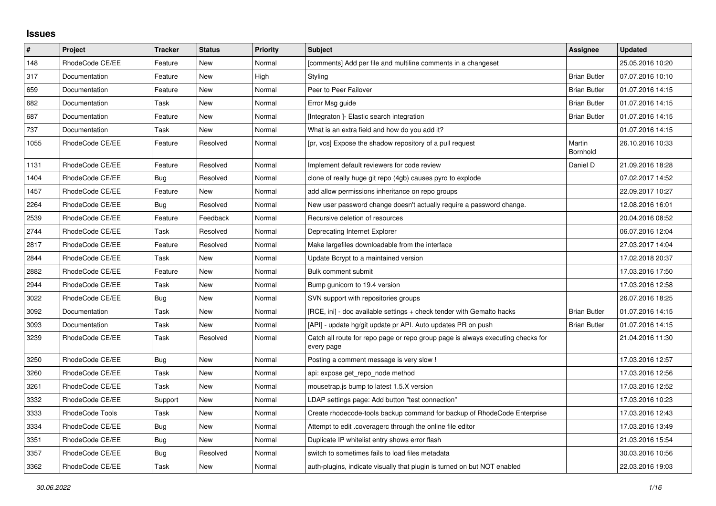## **Issues**

| $\vert$ # | Project         | Tracker    | <b>Status</b> | <b>Priority</b> | <b>Subject</b>                                                                                | Assignee            | <b>Updated</b>   |
|-----------|-----------------|------------|---------------|-----------------|-----------------------------------------------------------------------------------------------|---------------------|------------------|
| 148       | RhodeCode CE/EE | Feature    | New           | Normal          | [comments] Add per file and multiline comments in a changeset                                 |                     | 25.05.2016 10:20 |
| 317       | Documentation   | Feature    | <b>New</b>    | High            | Styling                                                                                       | <b>Brian Butler</b> | 07.07.2016 10:10 |
| 659       | Documentation   | Feature    | New           | Normal          | Peer to Peer Failover                                                                         | <b>Brian Butler</b> | 01.07.2016 14:15 |
| 682       | Documentation   | Task       | New           | Normal          | Error Msg guide                                                                               | <b>Brian Butler</b> | 01.07.2016 14:15 |
| 687       | Documentation   | Feature    | <b>New</b>    | Normal          | [Integraton] - Elastic search integration                                                     | <b>Brian Butler</b> | 01.07.2016 14:15 |
| 737       | Documentation   | Task       | New           | Normal          | What is an extra field and how do you add it?                                                 |                     | 01.07.2016 14:15 |
| 1055      | RhodeCode CE/EE | Feature    | Resolved      | Normal          | [pr, vcs] Expose the shadow repository of a pull request                                      | Martin<br>Bornhold  | 26.10.2016 10:33 |
| 1131      | RhodeCode CE/EE | Feature    | Resolved      | Normal          | Implement default reviewers for code review                                                   | Daniel D            | 21.09.2016 18:28 |
| 1404      | RhodeCode CE/EE | <b>Bug</b> | Resolved      | Normal          | clone of really huge git repo (4gb) causes pyro to explode                                    |                     | 07.02.2017 14:52 |
| 1457      | RhodeCode CE/EE | Feature    | New           | Normal          | add allow permissions inheritance on repo groups                                              |                     | 22.09.2017 10:27 |
| 2264      | RhodeCode CE/EE | Bug        | Resolved      | Normal          | New user password change doesn't actually require a password change.                          |                     | 12.08.2016 16:01 |
| 2539      | RhodeCode CE/EE | Feature    | Feedback      | Normal          | Recursive deletion of resources                                                               |                     | 20.04.2016 08:52 |
| 2744      | RhodeCode CE/EE | Task       | Resolved      | Normal          | Deprecating Internet Explorer                                                                 |                     | 06.07.2016 12:04 |
| 2817      | RhodeCode CE/EE | Feature    | Resolved      | Normal          | Make largefiles downloadable from the interface                                               |                     | 27.03.2017 14:04 |
| 2844      | RhodeCode CE/EE | Task       | <b>New</b>    | Normal          | Update Bcrypt to a maintained version                                                         |                     | 17.02.2018 20:37 |
| 2882      | RhodeCode CE/EE | Feature    | New           | Normal          | Bulk comment submit                                                                           |                     | 17.03.2016 17:50 |
| 2944      | RhodeCode CE/EE | Task       | New           | Normal          | Bump gunicorn to 19.4 version                                                                 |                     | 17.03.2016 12:58 |
| 3022      | RhodeCode CE/EE | <b>Bug</b> | <b>New</b>    | Normal          | SVN support with repositories groups                                                          |                     | 26.07.2016 18:25 |
| 3092      | Documentation   | Task       | New           | Normal          | [RCE, ini] - doc available settings + check tender with Gemalto hacks                         | <b>Brian Butler</b> | 01.07.2016 14:15 |
| 3093      | Documentation   | Task       | New           | Normal          | [API] - update hg/git update pr API. Auto updates PR on push                                  | <b>Brian Butler</b> | 01.07.2016 14:15 |
| 3239      | RhodeCode CE/EE | Task       | Resolved      | Normal          | Catch all route for repo page or repo group page is always executing checks for<br>every page |                     | 21.04.2016 11:30 |
| 3250      | RhodeCode CE/EE | Bug        | New           | Normal          | Posting a comment message is very slow!                                                       |                     | 17.03.2016 12:57 |
| 3260      | RhodeCode CE/EE | Task       | New           | Normal          | api: expose get repo node method                                                              |                     | 17.03.2016 12:56 |
| 3261      | RhodeCode CE/EE | Task       | New           | Normal          | mousetrap.js bump to latest 1.5.X version                                                     |                     | 17.03.2016 12:52 |
| 3332      | RhodeCode CE/EE | Support    | New           | Normal          | LDAP settings page: Add button "test connection"                                              |                     | 17.03.2016 10:23 |
| 3333      | RhodeCode Tools | Task       | New           | Normal          | Create rhodecode-tools backup command for backup of RhodeCode Enterprise                      |                     | 17.03.2016 12:43 |
| 3334      | RhodeCode CE/EE | <b>Bug</b> | New           | Normal          | Attempt to edit .coveragerc through the online file editor                                    |                     | 17.03.2016 13:49 |
| 3351      | RhodeCode CE/EE | <b>Bug</b> | New           | Normal          | Duplicate IP whitelist entry shows error flash                                                |                     | 21.03.2016 15:54 |
| 3357      | RhodeCode CE/EE | <b>Bug</b> | Resolved      | Normal          | switch to sometimes fails to load files metadata                                              |                     | 30.03.2016 10:56 |
| 3362      | RhodeCode CE/EE | Task       | New           | Normal          | auth-plugins, indicate visually that plugin is turned on but NOT enabled                      |                     | 22.03.2016 19:03 |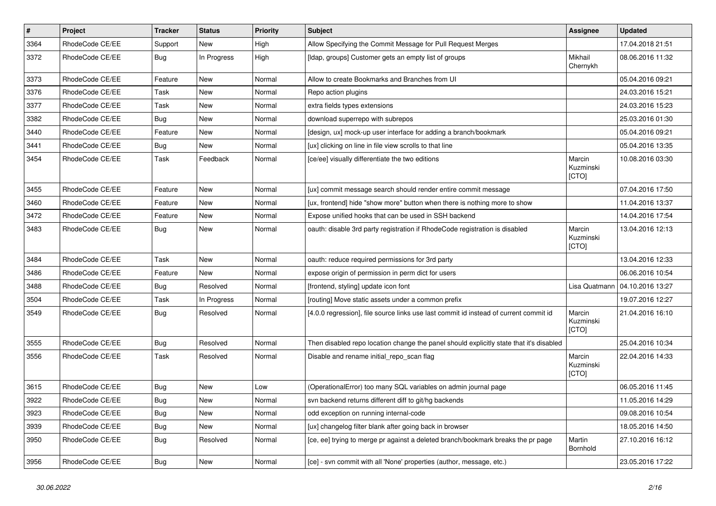| $\vert$ # | Project         | <b>Tracker</b> | <b>Status</b> | <b>Priority</b> | <b>Subject</b>                                                                          | Assignee                     | <b>Updated</b>   |
|-----------|-----------------|----------------|---------------|-----------------|-----------------------------------------------------------------------------------------|------------------------------|------------------|
| 3364      | RhodeCode CE/EE | Support        | New           | High            | Allow Specifying the Commit Message for Pull Request Merges                             |                              | 17.04.2018 21:51 |
| 3372      | RhodeCode CE/EE | Bug            | In Progress   | High            | [Idap, groups] Customer gets an empty list of groups                                    | Mikhail<br>Chernykh          | 08.06.2016 11:32 |
| 3373      | RhodeCode CE/EE | Feature        | <b>New</b>    | Normal          | Allow to create Bookmarks and Branches from UI                                          |                              | 05.04.2016 09:21 |
| 3376      | RhodeCode CE/EE | Task           | <b>New</b>    | Normal          | Repo action plugins                                                                     |                              | 24.03.2016 15:21 |
| 3377      | RhodeCode CE/EE | Task           | New           | Normal          | extra fields types extensions                                                           |                              | 24.03.2016 15:23 |
| 3382      | RhodeCode CE/EE | Bug            | New           | Normal          | download superrepo with subrepos                                                        |                              | 25.03.2016 01:30 |
| 3440      | RhodeCode CE/EE | Feature        | <b>New</b>    | Normal          | [design, ux] mock-up user interface for adding a branch/bookmark                        |                              | 05.04.2016 09:21 |
| 3441      | RhodeCode CE/EE | Bug            | New           | Normal          | [ux] clicking on line in file view scrolls to that line                                 |                              | 05.04.2016 13:35 |
| 3454      | RhodeCode CE/EE | Task           | Feedback      | Normal          | [ce/ee] visually differentiate the two editions                                         | Marcin<br>Kuzminski<br>[CTO] | 10.08.2016 03:30 |
| 3455      | RhodeCode CE/EE | Feature        | <b>New</b>    | Normal          | [ux] commit message search should render entire commit message                          |                              | 07.04.2016 17:50 |
| 3460      | RhodeCode CE/EE | Feature        | New           | Normal          | [ux, frontend] hide "show more" button when there is nothing more to show               |                              | 11.04.2016 13:37 |
| 3472      | RhodeCode CE/EE | Feature        | New           | Normal          | Expose unified hooks that can be used in SSH backend                                    |                              | 14.04.2016 17:54 |
| 3483      | RhodeCode CE/EE | Bug            | <b>New</b>    | Normal          | oauth: disable 3rd party registration if RhodeCode registration is disabled             | Marcin<br>Kuzminski<br>[CTO] | 13.04.2016 12:13 |
| 3484      | RhodeCode CE/EE | Task           | <b>New</b>    | Normal          | oauth: reduce required permissions for 3rd party                                        |                              | 13.04.2016 12:33 |
| 3486      | RhodeCode CE/EE | Feature        | <b>New</b>    | Normal          | expose origin of permission in perm dict for users                                      |                              | 06.06.2016 10:54 |
| 3488      | RhodeCode CE/EE | Bug            | Resolved      | Normal          | [frontend, styling] update icon font                                                    | Lisa Quatmann                | 04.10.2016 13:27 |
| 3504      | RhodeCode CE/EE | Task           | In Progress   | Normal          | [routing] Move static assets under a common prefix                                      |                              | 19.07.2016 12:27 |
| 3549      | RhodeCode CE/EE | Bug            | Resolved      | Normal          | [4.0.0 regression], file source links use last commit id instead of current commit id   | Marcin<br>Kuzminski<br>[CTO] | 21.04.2016 16:10 |
| 3555      | RhodeCode CE/EE | Bug            | Resolved      | Normal          | Then disabled repo location change the panel should explicitly state that it's disabled |                              | 25.04.2016 10:34 |
| 3556      | RhodeCode CE/EE | Task           | Resolved      | Normal          | Disable and rename initial_repo_scan flag                                               | Marcin<br>Kuzminski<br>[CTO] | 22.04.2016 14:33 |
| 3615      | RhodeCode CE/EE | Bug            | New           | Low             | (OperationalError) too many SQL variables on admin journal page                         |                              | 06.05.2016 11:45 |
| 3922      | RhodeCode CE/EE | Bug            | New           | Normal          | svn backend returns different diff to git/hg backends                                   |                              | 11.05.2016 14:29 |
| 3923      | RhodeCode CE/EE | Bug            | New           | Normal          | odd exception on running internal-code                                                  |                              | 09.08.2016 10:54 |
| 3939      | RhodeCode CE/EE | <b>Bug</b>     | New           | Normal          | [ux] changelog filter blank after going back in browser                                 |                              | 18.05.2016 14:50 |
| 3950      | RhodeCode CE/EE | Bug            | Resolved      | Normal          | [ce, ee] trying to merge pr against a deleted branch/bookmark breaks the pr page        | Martin<br>Bornhold           | 27.10.2016 16:12 |
| 3956      | RhodeCode CE/EE | Bug            | New           | Normal          | [ce] - svn commit with all 'None' properties (author, message, etc.)                    |                              | 23.05.2016 17:22 |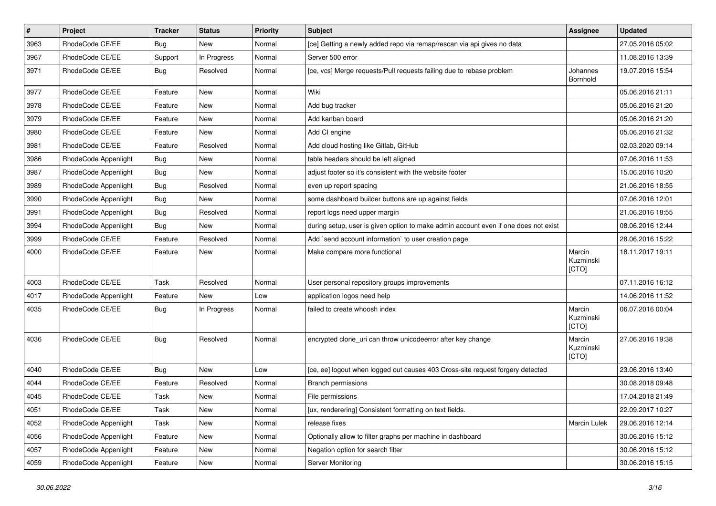| $\pmb{\#}$ | Project              | <b>Tracker</b> | <b>Status</b> | <b>Priority</b> | <b>Subject</b>                                                                      | <b>Assignee</b>              | <b>Updated</b>   |
|------------|----------------------|----------------|---------------|-----------------|-------------------------------------------------------------------------------------|------------------------------|------------------|
| 3963       | RhodeCode CE/EE      | <b>Bug</b>     | New           | Normal          | [ce] Getting a newly added repo via remap/rescan via api gives no data              |                              | 27.05.2016 05:02 |
| 3967       | RhodeCode CE/EE      | Support        | In Progress   | Normal          | Server 500 error                                                                    |                              | 11.08.2016 13:39 |
| 3971       | RhodeCode CE/EE      | Bug            | Resolved      | Normal          | [ce, vcs] Merge requests/Pull requests failing due to rebase problem                | Johannes<br>Bornhold         | 19.07.2016 15:54 |
| 3977       | RhodeCode CE/EE      | Feature        | <b>New</b>    | Normal          | Wiki                                                                                |                              | 05.06.2016 21:11 |
| 3978       | RhodeCode CE/EE      | Feature        | New           | Normal          | Add bug tracker                                                                     |                              | 05.06.2016 21:20 |
| 3979       | RhodeCode CE/EE      | Feature        | New           | Normal          | Add kanban board                                                                    |                              | 05.06.2016 21:20 |
| 3980       | RhodeCode CE/EE      | Feature        | <b>New</b>    | Normal          | Add CI engine                                                                       |                              | 05.06.2016 21:32 |
| 3981       | RhodeCode CE/EE      | Feature        | Resolved      | Normal          | Add cloud hosting like Gitlab, GitHub                                               |                              | 02.03.2020 09:14 |
| 3986       | RhodeCode Appenlight | Bug            | <b>New</b>    | Normal          | table headers should be left aligned                                                |                              | 07.06.2016 11:53 |
| 3987       | RhodeCode Appenlight | Bug            | New           | Normal          | adjust footer so it's consistent with the website footer                            |                              | 15.06.2016 10:20 |
| 3989       | RhodeCode Appenlight | Bug            | Resolved      | Normal          | even up report spacing                                                              |                              | 21.06.2016 18:55 |
| 3990       | RhodeCode Appenlight | <b>Bug</b>     | <b>New</b>    | Normal          | some dashboard builder buttons are up against fields                                |                              | 07.06.2016 12:01 |
| 3991       | RhodeCode Appenlight | <b>Bug</b>     | Resolved      | Normal          | report logs need upper margin                                                       |                              | 21.06.2016 18:55 |
| 3994       | RhodeCode Appenlight | Bug            | <b>New</b>    | Normal          | during setup, user is given option to make admin account even if one does not exist |                              | 08.06.2016 12:44 |
| 3999       | RhodeCode CE/EE      | Feature        | Resolved      | Normal          | Add `send account information` to user creation page                                |                              | 28.06.2016 15:22 |
| 4000       | RhodeCode CE/EE      | Feature        | New           | Normal          | Make compare more functional                                                        | Marcin<br>Kuzminski<br>[CTO] | 18.11.2017 19:11 |
| 4003       | RhodeCode CE/EE      | Task           | Resolved      | Normal          | User personal repository groups improvements                                        |                              | 07.11.2016 16:12 |
| 4017       | RhodeCode Appenlight | Feature        | <b>New</b>    | Low             | application logos need help                                                         |                              | 14.06.2016 11:52 |
| 4035       | RhodeCode CE/EE      | Bug            | In Progress   | Normal          | failed to create whoosh index                                                       | Marcin<br>Kuzminski<br>[CTO] | 06.07.2016 00:04 |
| 4036       | RhodeCode CE/EE      | Bug            | Resolved      | Normal          | encrypted clone_uri can throw unicodeerror after key change                         | Marcin<br>Kuzminski<br>[CTO] | 27.06.2016 19:38 |
| 4040       | RhodeCode CE/EE      | Bug            | <b>New</b>    | Low             | [ce, ee] logout when logged out causes 403 Cross-site request forgery detected      |                              | 23.06.2016 13:40 |
| 4044       | RhodeCode CE/EE      | Feature        | Resolved      | Normal          | <b>Branch permissions</b>                                                           |                              | 30.08.2018 09:48 |
| 4045       | RhodeCode CE/EE      | Task           | New           | Normal          | File permissions                                                                    |                              | 17.04.2018 21:49 |
| 4051       | RhodeCode CE/EE      | Task           | New           | Normal          | [ux, renderering] Consistent formatting on text fields.                             |                              | 22.09.2017 10:27 |
| 4052       | RhodeCode Appenlight | Task           | New           | Normal          | release fixes                                                                       | Marcin Lulek                 | 29.06.2016 12:14 |
| 4056       | RhodeCode Appenlight | Feature        | New           | Normal          | Optionally allow to filter graphs per machine in dashboard                          |                              | 30.06.2016 15:12 |
| 4057       | RhodeCode Appenlight | Feature        | New           | Normal          | Negation option for search filter                                                   |                              | 30.06.2016 15:12 |
| 4059       | RhodeCode Appenlight | Feature        | New           | Normal          | Server Monitoring                                                                   |                              | 30.06.2016 15:15 |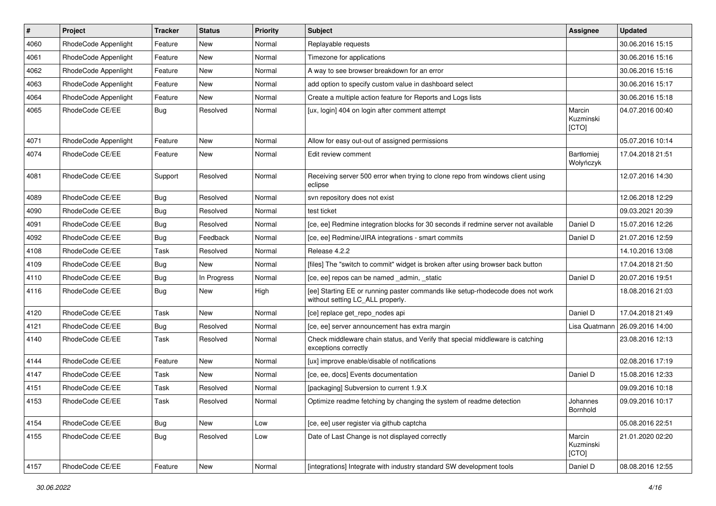| $\vert$ # | Project              | <b>Tracker</b> | <b>Status</b> | <b>Priority</b> | <b>Subject</b>                                                                                                     | <b>Assignee</b>                | <b>Updated</b>   |
|-----------|----------------------|----------------|---------------|-----------------|--------------------------------------------------------------------------------------------------------------------|--------------------------------|------------------|
| 4060      | RhodeCode Appenlight | Feature        | New           | Normal          | Replayable requests                                                                                                |                                | 30.06.2016 15:15 |
| 4061      | RhodeCode Appenlight | Feature        | <b>New</b>    | Normal          | Timezone for applications                                                                                          |                                | 30.06.2016 15:16 |
| 4062      | RhodeCode Appenlight | Feature        | New           | Normal          | A way to see browser breakdown for an error                                                                        |                                | 30.06.2016 15:16 |
| 4063      | RhodeCode Appenlight | Feature        | New           | Normal          | add option to specify custom value in dashboard select                                                             |                                | 30.06.2016 15:17 |
| 4064      | RhodeCode Appenlight | Feature        | New           | Normal          | Create a multiple action feature for Reports and Logs lists                                                        |                                | 30.06.2016 15:18 |
| 4065      | RhodeCode CE/EE      | Bug            | Resolved      | Normal          | [ux, login] 404 on login after comment attempt                                                                     | Marcin<br>Kuzminski<br>[CTO]   | 04.07.2016 00:40 |
| 4071      | RhodeCode Appenlight | Feature        | New           | Normal          | Allow for easy out-out of assigned permissions                                                                     |                                | 05.07.2016 10:14 |
| 4074      | RhodeCode CE/EE      | Feature        | New           | Normal          | Edit review comment                                                                                                | <b>Bartłomiei</b><br>Wołyńczyk | 17.04.2018 21:51 |
| 4081      | RhodeCode CE/EE      | Support        | Resolved      | Normal          | Receiving server 500 error when trying to clone repo from windows client using<br>eclipse                          |                                | 12.07.2016 14:30 |
| 4089      | RhodeCode CE/EE      | <b>Bug</b>     | Resolved      | Normal          | syn repository does not exist                                                                                      |                                | 12.06.2018 12:29 |
| 4090      | RhodeCode CE/EE      | <b>Bug</b>     | Resolved      | Normal          | test ticket                                                                                                        |                                | 09.03.2021 20:39 |
| 4091      | RhodeCode CE/EE      | Bug            | Resolved      | Normal          | [ce, ee] Redmine integration blocks for 30 seconds if redmine server not available                                 | Daniel D                       | 15.07.2016 12:26 |
| 4092      | RhodeCode CE/EE      | <b>Bug</b>     | Feedback      | Normal          | [ce, ee] Redmine/JIRA integrations - smart commits                                                                 | Daniel D                       | 21.07.2016 12:59 |
| 4108      | RhodeCode CE/EE      | Task           | Resolved      | Normal          | Release 4.2.2                                                                                                      |                                | 14.10.2016 13:08 |
| 4109      | RhodeCode CE/EE      | Bug            | New           | Normal          | [files] The "switch to commit" widget is broken after using browser back button                                    |                                | 17.04.2018 21:50 |
| 4110      | RhodeCode CE/EE      | Bug            | In Progress   | Normal          | [ce, ee] repos can be named _admin, _static                                                                        | Daniel D                       | 20.07.2016 19:51 |
| 4116      | RhodeCode CE/EE      | <b>Bug</b>     | New           | High            | [ee] Starting EE or running paster commands like setup-rhodecode does not work<br>without setting LC_ALL properly. |                                | 18.08.2016 21:03 |
| 4120      | RhodeCode CE/EE      | Task           | New           | Normal          | [ce] replace get_repo_nodes api                                                                                    | Daniel D                       | 17.04.2018 21:49 |
| 4121      | RhodeCode CE/EE      | Bug            | Resolved      | Normal          | [ce, ee] server announcement has extra margin                                                                      | Lisa Quatmann                  | 26.09.2016 14:00 |
| 4140      | RhodeCode CE/EE      | Task           | Resolved      | Normal          | Check middleware chain status, and Verify that special middleware is catching<br>exceptions correctly              |                                | 23.08.2016 12:13 |
| 4144      | RhodeCode CE/EE      | Feature        | New           | Normal          | [ux] improve enable/disable of notifications                                                                       |                                | 02.08.2016 17:19 |
| 4147      | RhodeCode CE/EE      | Task           | New           | Normal          | [ce, ee, docs] Events documentation                                                                                | Daniel D                       | 15.08.2016 12:33 |
| 4151      | RhodeCode CE/EE      | Task           | Resolved      | Normal          | [packaging] Subversion to current 1.9.X                                                                            |                                | 09.09.2016 10:18 |
| 4153      | RhodeCode CE/EE      | Task           | Resolved      | Normal          | Optimize readme fetching by changing the system of readme detection                                                | Johannes<br>Bornhold           | 09.09.2016 10:17 |
| 4154      | RhodeCode CE/EE      | <b>Bug</b>     | New           | Low             | [ce, ee] user register via github captcha                                                                          |                                | 05.08.2016 22:51 |
| 4155      | RhodeCode CE/EE      | Bug            | Resolved      | Low             | Date of Last Change is not displayed correctly                                                                     | Marcin<br>Kuzminski<br>[CTO]   | 21.01.2020 02:20 |
| 4157      | RhodeCode CE/EE      | Feature        | <b>New</b>    | Normal          | [integrations] Integrate with industry standard SW development tools                                               | Daniel D                       | 08.08.2016 12:55 |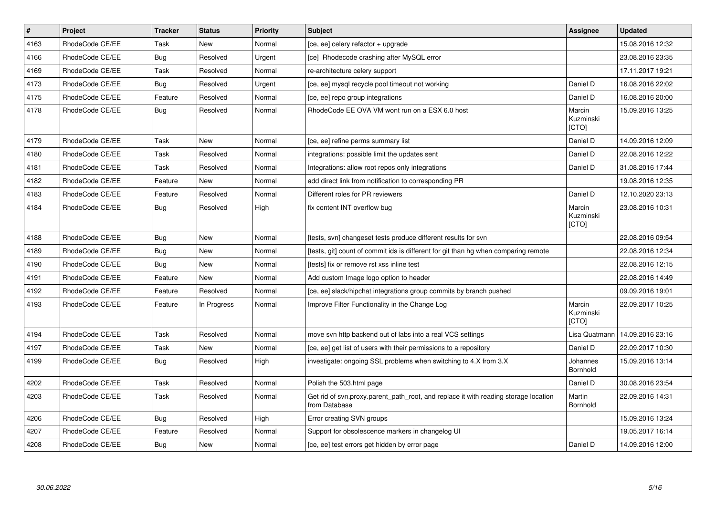| $\vert$ # | Project         | <b>Tracker</b> | <b>Status</b> | <b>Priority</b> | <b>Subject</b>                                                                                       | Assignee                     | <b>Updated</b>   |
|-----------|-----------------|----------------|---------------|-----------------|------------------------------------------------------------------------------------------------------|------------------------------|------------------|
| 4163      | RhodeCode CE/EE | Task           | <b>New</b>    | Normal          | [ce, ee] celery refactor + upgrade                                                                   |                              | 15.08.2016 12:32 |
| 4166      | RhodeCode CE/EE | <b>Bug</b>     | Resolved      | Urgent          | [ce] Rhodecode crashing after MySQL error                                                            |                              | 23.08.2016 23:35 |
| 4169      | RhodeCode CE/EE | Task           | Resolved      | Normal          | re-architecture celery support                                                                       |                              | 17.11.2017 19:21 |
| 4173      | RhodeCode CE/EE | <b>Bug</b>     | Resolved      | Urgent          | [ce, ee] mysql recycle pool timeout not working                                                      | Daniel D                     | 16.08.2016 22:02 |
| 4175      | RhodeCode CE/EE | Feature        | Resolved      | Normal          | [ce, ee] repo group integrations                                                                     | Daniel D                     | 16.08.2016 20:00 |
| 4178      | RhodeCode CE/EE | Bug            | Resolved      | Normal          | RhodeCode EE OVA VM wont run on a ESX 6.0 host                                                       | Marcin<br>Kuzminski<br>[CTO] | 15.09.2016 13:25 |
| 4179      | RhodeCode CE/EE | Task           | New           | Normal          | [ce, ee] refine perms summary list                                                                   | Daniel D                     | 14.09.2016 12:09 |
| 4180      | RhodeCode CE/EE | Task           | Resolved      | Normal          | integrations: possible limit the updates sent                                                        | Daniel D                     | 22.08.2016 12:22 |
| 4181      | RhodeCode CE/EE | Task           | Resolved      | Normal          | Integrations: allow root repos only integrations                                                     | Daniel D                     | 31.08.2016 17:44 |
| 4182      | RhodeCode CE/EE | Feature        | <b>New</b>    | Normal          | add direct link from notification to corresponding PR                                                |                              | 19.08.2016 12:35 |
| 4183      | RhodeCode CE/EE | Feature        | Resolved      | Normal          | Different roles for PR reviewers                                                                     | Daniel D                     | 12.10.2020 23:13 |
| 4184      | RhodeCode CE/EE | Bug            | Resolved      | High            | fix content INT overflow bug                                                                         | Marcin<br>Kuzminski<br>[CTO] | 23.08.2016 10:31 |
| 4188      | RhodeCode CE/EE | Bug            | New           | Normal          | [tests, svn] changeset tests produce different results for svn                                       |                              | 22.08.2016 09:54 |
| 4189      | RhodeCode CE/EE | Bug            | <b>New</b>    | Normal          | [tests, git] count of commit ids is different for git than hg when comparing remote                  |                              | 22.08.2016 12:34 |
| 4190      | RhodeCode CE/EE | Bug            | New           | Normal          | [tests] fix or remove rst xss inline test                                                            |                              | 22.08.2016 12:15 |
| 4191      | RhodeCode CE/EE | Feature        | <b>New</b>    | Normal          | Add custom Image logo option to header                                                               |                              | 22.08.2016 14:49 |
| 4192      | RhodeCode CE/EE | Feature        | Resolved      | Normal          | [ce, ee] slack/hipchat integrations group commits by branch pushed                                   |                              | 09.09.2016 19:01 |
| 4193      | RhodeCode CE/EE | Feature        | In Progress   | Normal          | Improve Filter Functionality in the Change Log                                                       | Marcin<br>Kuzminski<br>[CTO] | 22.09.2017 10:25 |
| 4194      | RhodeCode CE/EE | Task           | Resolved      | Normal          | move svn http backend out of labs into a real VCS settings                                           | Lisa Quatmann                | 14.09.2016 23:16 |
| 4197      | RhodeCode CE/EE | Task           | New           | Normal          | [ce, ee] get list of users with their permissions to a repository                                    | Daniel D                     | 22.09.2017 10:30 |
| 4199      | RhodeCode CE/EE | <b>Bug</b>     | Resolved      | High            | investigate: ongoing SSL problems when switching to 4.X from 3.X                                     | Johannes<br>Bornhold         | 15.09.2016 13:14 |
| 4202      | RhodeCode CE/EE | Task           | Resolved      | Normal          | Polish the 503.html page                                                                             | Daniel D                     | 30.08.2016 23:54 |
| 4203      | RhodeCode CE/EE | Task           | Resolved      | Normal          | Get rid of svn.proxy.parent path root, and replace it with reading storage location<br>from Database | Martin<br>Bornhold           | 22.09.2016 14:31 |
| 4206      | RhodeCode CE/EE | Bug            | Resolved      | High            | Error creating SVN groups                                                                            |                              | 15.09.2016 13:24 |
| 4207      | RhodeCode CE/EE | Feature        | Resolved      | Normal          | Support for obsolescence markers in changelog UI                                                     |                              | 19.05.2017 16:14 |
| 4208      | RhodeCode CE/EE | <b>Bug</b>     | New           | Normal          | [ce, ee] test errors get hidden by error page                                                        | Daniel D                     | 14.09.2016 12:00 |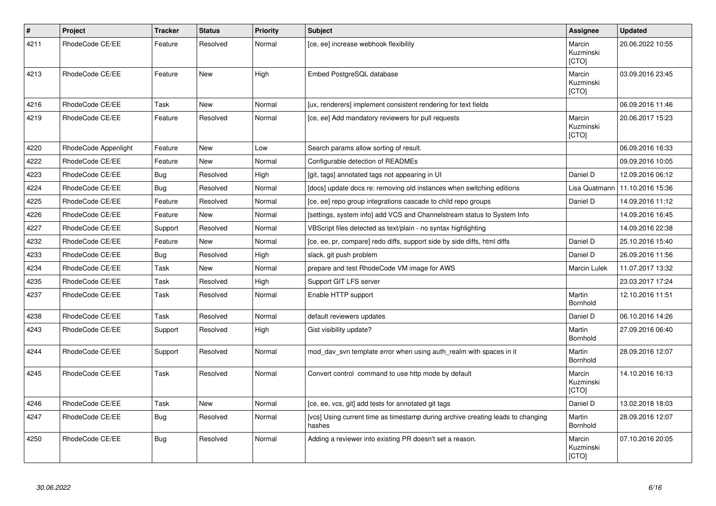| $\vert$ # | Project              | <b>Tracker</b> | <b>Status</b> | <b>Priority</b> | <b>Subject</b>                                                                            | Assignee                     | <b>Updated</b>   |
|-----------|----------------------|----------------|---------------|-----------------|-------------------------------------------------------------------------------------------|------------------------------|------------------|
| 4211      | RhodeCode CE/EE      | Feature        | Resolved      | Normal          | [ce, ee] increase webhook flexibility                                                     | Marcin<br>Kuzminski<br>[CTO] | 20.06.2022 10:55 |
| 4213      | RhodeCode CE/EE      | Feature        | <b>New</b>    | High            | Embed PostgreSQL database                                                                 | Marcin<br>Kuzminski<br>[CTO] | 03.09.2016 23:45 |
| 4216      | RhodeCode CE/EE      | Task           | New           | Normal          | [ux, renderers] implement consistent rendering for text fields                            |                              | 06.09.2016 11:46 |
| 4219      | RhodeCode CE/EE      | Feature        | Resolved      | Normal          | [ce, ee] Add mandatory reviewers for pull requests                                        | Marcin<br>Kuzminski<br>[CTO] | 20.06.2017 15:23 |
| 4220      | RhodeCode Appenlight | Feature        | <b>New</b>    | Low             | Search params allow sorting of result.                                                    |                              | 06.09.2016 16:33 |
| 4222      | RhodeCode CE/EE      | Feature        | <b>New</b>    | Normal          | Configurable detection of READMEs                                                         |                              | 09.09.2016 10:05 |
| 4223      | RhodeCode CE/EE      | Bug            | Resolved      | High            | [git, tags] annotated tags not appearing in UI                                            | Daniel D                     | 12.09.2016 06:12 |
| 4224      | RhodeCode CE/EE      | Bug            | Resolved      | Normal          | [docs] update docs re: removing old instances when switching editions                     | Lisa Quatmann                | 11.10.2016 15:36 |
| 4225      | RhodeCode CE/EE      | Feature        | Resolved      | Normal          | [ce, ee] repo group integrations cascade to child repo groups                             | Daniel D                     | 14.09.2016 11:12 |
| 4226      | RhodeCode CE/EE      | Feature        | <b>New</b>    | Normal          | [settings, system info] add VCS and Channelstream status to System Info                   |                              | 14.09.2016 16:45 |
| 4227      | RhodeCode CE/EE      | Support        | Resolved      | Normal          | VBScript files detected as text/plain - no syntax highlighting                            |                              | 14.09.2016 22:38 |
| 4232      | RhodeCode CE/EE      | Feature        | New           | Normal          | [ce, ee, pr, compare] redo diffs, support side by side diffs, html diffs                  | Daniel D                     | 25.10.2016 15:40 |
| 4233      | RhodeCode CE/EE      | Bug            | Resolved      | High            | slack, git push problem                                                                   | Daniel D                     | 26.09.2016 11:56 |
| 4234      | RhodeCode CE/EE      | Task           | <b>New</b>    | Normal          | prepare and test RhodeCode VM image for AWS                                               | Marcin Lulek                 | 11.07.2017 13:32 |
| 4235      | RhodeCode CE/EE      | Task           | Resolved      | High            | Support GIT LFS server                                                                    |                              | 23.03.2017 17:24 |
| 4237      | RhodeCode CE/EE      | Task           | Resolved      | Normal          | Enable HTTP support                                                                       | Martin<br>Bornhold           | 12.10.2016 11:51 |
| 4238      | RhodeCode CE/EE      | Task           | Resolved      | Normal          | default reviewers updates                                                                 | Daniel D                     | 06.10.2016 14:26 |
| 4243      | RhodeCode CE/EE      | Support        | Resolved      | High            | Gist visibility update?                                                                   | Martin<br>Bornhold           | 27.09.2016 06:40 |
| 4244      | RhodeCode CE/EE      | Support        | Resolved      | Normal          | mod_dav_svn template error when using auth_realm with spaces in it                        | Martin<br>Bornhold           | 28.09.2016 12:07 |
| 4245      | RhodeCode CE/EE      | Task           | Resolved      | Normal          | Convert control command to use http mode by default                                       | Marcin<br>Kuzminski<br>[CTO] | 14.10.2016 16:13 |
| 4246      | RhodeCode CE/EE      | Task           | New           | Normal          | [ce, ee, vcs, git] add tests for annotated git tags                                       | Daniel D                     | 13.02.2018 18:03 |
| 4247      | RhodeCode CE/EE      | Bug            | Resolved      | Normal          | [vcs] Using current time as timestamp during archive creating leads to changing<br>hashes | Martin<br>Bornhold           | 28.09.2016 12:07 |
| 4250      | RhodeCode CE/EE      | <b>Bug</b>     | Resolved      | Normal          | Adding a reviewer into existing PR doesn't set a reason.                                  | Marcin<br>Kuzminski<br>[CTO] | 07.10.2016 20:05 |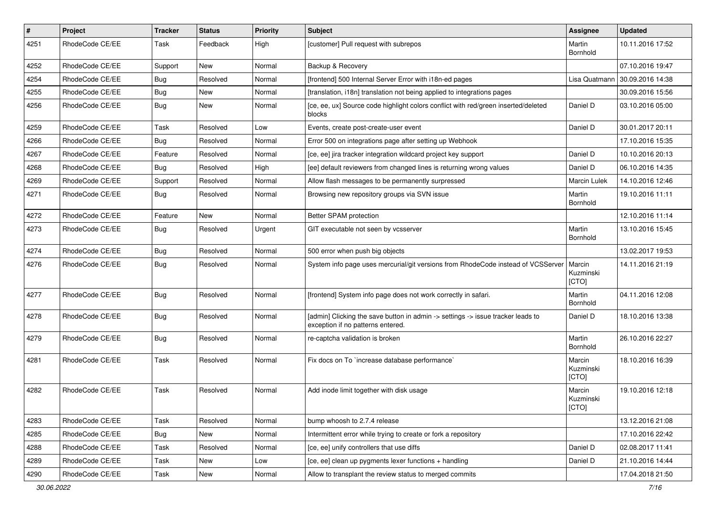| $\pmb{\#}$ | Project         | <b>Tracker</b> | <b>Status</b> | <b>Priority</b> | Subject                                                                                                              | Assignee                     | <b>Updated</b>   |
|------------|-----------------|----------------|---------------|-----------------|----------------------------------------------------------------------------------------------------------------------|------------------------------|------------------|
| 4251       | RhodeCode CE/EE | Task           | Feedback      | High            | [customer] Pull request with subrepos                                                                                | Martin<br>Bornhold           | 10.11.2016 17:52 |
| 4252       | RhodeCode CE/EE | Support        | <b>New</b>    | Normal          | Backup & Recovery                                                                                                    |                              | 07.10.2016 19:47 |
| 4254       | RhodeCode CE/EE | Bug            | Resolved      | Normal          | [frontend] 500 Internal Server Error with i18n-ed pages                                                              | Lisa Quatmann                | 30.09.2016 14:38 |
| 4255       | RhodeCode CE/EE | Bug            | <b>New</b>    | Normal          | [translation, i18n] translation not being applied to integrations pages                                              |                              | 30.09.2016 15:56 |
| 4256       | RhodeCode CE/EE | Bug            | New           | Normal          | [ce, ee, ux] Source code highlight colors conflict with red/green inserted/deleted<br>blocks                         | Daniel D                     | 03.10.2016 05:00 |
| 4259       | RhodeCode CE/EE | Task           | Resolved      | Low             | Events, create post-create-user event                                                                                | Daniel D                     | 30.01.2017 20:11 |
| 4266       | RhodeCode CE/EE | <b>Bug</b>     | Resolved      | Normal          | Error 500 on integrations page after setting up Webhook                                                              |                              | 17.10.2016 15:35 |
| 4267       | RhodeCode CE/EE | Feature        | Resolved      | Normal          | [ce, ee] jira tracker integration wildcard project key support                                                       | Daniel D                     | 10.10.2016 20:13 |
| 4268       | RhodeCode CE/EE | <b>Bug</b>     | Resolved      | High            | [ee] default reviewers from changed lines is returning wrong values                                                  | Daniel D                     | 06.10.2016 14:35 |
| 4269       | RhodeCode CE/EE | Support        | Resolved      | Normal          | Allow flash messages to be permanently surpressed                                                                    | Marcin Lulek                 | 14.10.2016 12:46 |
| 4271       | RhodeCode CE/EE | Bug            | Resolved      | Normal          | Browsing new repository groups via SVN issue                                                                         | Martin<br>Bornhold           | 19.10.2016 11:11 |
| 4272       | RhodeCode CE/EE | Feature        | <b>New</b>    | Normal          | Better SPAM protection                                                                                               |                              | 12.10.2016 11:14 |
| 4273       | RhodeCode CE/EE | Bug            | Resolved      | Urgent          | GIT executable not seen by vcsserver                                                                                 | Martin<br>Bornhold           | 13.10.2016 15:45 |
| 4274       | RhodeCode CE/EE | <b>Bug</b>     | Resolved      | Normal          | 500 error when push big objects                                                                                      |                              | 13.02.2017 19:53 |
| 4276       | RhodeCode CE/EE | Bug            | Resolved      | Normal          | System info page uses mercurial/git versions from RhodeCode instead of VCSServer                                     | Marcin<br>Kuzminski<br>[CTO] | 14.11.2016 21:19 |
| 4277       | RhodeCode CE/EE | Bug            | Resolved      | Normal          | [frontend] System info page does not work correctly in safari.                                                       | Martin<br>Bornhold           | 04.11.2016 12:08 |
| 4278       | RhodeCode CE/EE | <b>Bug</b>     | Resolved      | Normal          | [admin] Clicking the save button in admin -> settings -> issue tracker leads to<br>exception if no patterns entered. | Daniel D                     | 18.10.2016 13:38 |
| 4279       | RhodeCode CE/EE | Bug            | Resolved      | Normal          | re-captcha validation is broken                                                                                      | Martin<br>Bornhold           | 26.10.2016 22:27 |
| 4281       | RhodeCode CE/EE | Task           | Resolved      | Normal          | Fix docs on To `increase database performance`                                                                       | Marcin<br>Kuzminski<br>[CTO] | 18.10.2016 16:39 |
| 4282       | RhodeCode CE/EE | Task           | Resolved      | Normal          | Add inode limit together with disk usage                                                                             | Marcin<br>Kuzminski<br>[CTO] | 19.10.2016 12:18 |
| 4283       | RhodeCode CE/EE | Task           | Resolved      | Normal          | bump whoosh to 2.7.4 release                                                                                         |                              | 13.12.2016 21:08 |
| 4285       | RhodeCode CE/EE | Bug            | New           | Normal          | Intermittent error while trying to create or fork a repository                                                       |                              | 17.10.2016 22:42 |
| 4288       | RhodeCode CE/EE | Task           | Resolved      | Normal          | [ce, ee] unify controllers that use diffs                                                                            | Daniel D                     | 02.08.2017 11:41 |
| 4289       | RhodeCode CE/EE | Task           | New           | Low             | [ce, ee] clean up pygments lexer functions + handling                                                                | Daniel D                     | 21.10.2016 14:44 |
| 4290       | RhodeCode CE/EE | Task           | New           | Normal          | Allow to transplant the review status to merged commits                                                              |                              | 17.04.2018 21:50 |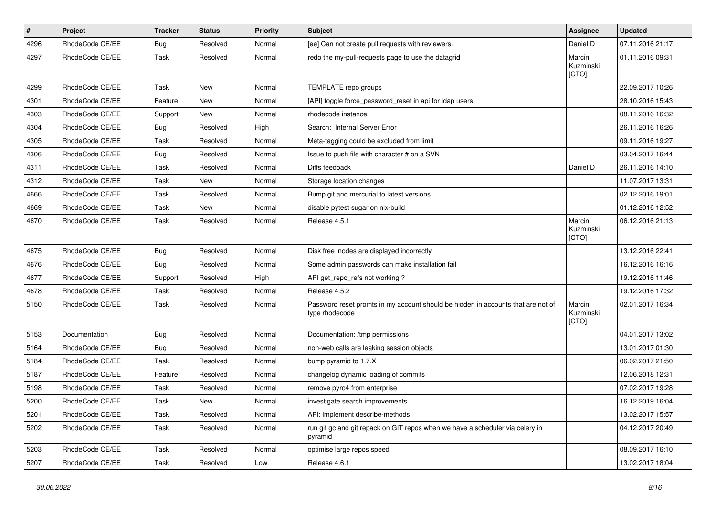| $\pmb{\#}$ | Project         | <b>Tracker</b> | <b>Status</b> | <b>Priority</b> | <b>Subject</b>                                                                                     | Assignee                     | <b>Updated</b>   |
|------------|-----------------|----------------|---------------|-----------------|----------------------------------------------------------------------------------------------------|------------------------------|------------------|
| 4296       | RhodeCode CE/EE | <b>Bug</b>     | Resolved      | Normal          | [ee] Can not create pull requests with reviewers.                                                  | Daniel D                     | 07.11.2016 21:17 |
| 4297       | RhodeCode CE/EE | Task           | Resolved      | Normal          | redo the my-pull-requests page to use the datagrid                                                 | Marcin<br>Kuzminski<br>[CTO] | 01.11.2016 09:31 |
| 4299       | RhodeCode CE/EE | Task           | <b>New</b>    | Normal          | TEMPLATE repo groups                                                                               |                              | 22.09.2017 10:26 |
| 4301       | RhodeCode CE/EE | Feature        | <b>New</b>    | Normal          | [API] toggle force_password_reset in api for Idap users                                            |                              | 28.10.2016 15:43 |
| 4303       | RhodeCode CE/EE | Support        | New           | Normal          | rhodecode instance                                                                                 |                              | 08.11.2016 16:32 |
| 4304       | RhodeCode CE/EE | Bug            | Resolved      | High            | Search: Internal Server Error                                                                      |                              | 26.11.2016 16:26 |
| 4305       | RhodeCode CE/EE | Task           | Resolved      | Normal          | Meta-tagging could be excluded from limit                                                          |                              | 09.11.2016 19:27 |
| 4306       | RhodeCode CE/EE | Bug            | Resolved      | Normal          | Issue to push file with character # on a SVN                                                       |                              | 03.04.2017 16:44 |
| 4311       | RhodeCode CE/EE | Task           | Resolved      | Normal          | Diffs feedback                                                                                     | Daniel D                     | 26.11.2016 14:10 |
| 4312       | RhodeCode CE/EE | Task           | <b>New</b>    | Normal          | Storage location changes                                                                           |                              | 11.07.2017 13:31 |
| 4666       | RhodeCode CE/EE | Task           | Resolved      | Normal          | Bump git and mercurial to latest versions                                                          |                              | 02.12.2016 19:01 |
| 4669       | RhodeCode CE/EE | Task           | <b>New</b>    | Normal          | disable pytest sugar on nix-build                                                                  |                              | 01.12.2016 12:52 |
| 4670       | RhodeCode CE/EE | Task           | Resolved      | Normal          | Release 4.5.1                                                                                      | Marcin<br>Kuzminski<br>[CTO] | 06.12.2016 21:13 |
| 4675       | RhodeCode CE/EE | Bug            | Resolved      | Normal          | Disk free inodes are displayed incorrectly                                                         |                              | 13.12.2016 22:41 |
| 4676       | RhodeCode CE/EE | Bug            | Resolved      | Normal          | Some admin passwords can make installation fail                                                    |                              | 16.12.2016 16:16 |
| 4677       | RhodeCode CE/EE | Support        | Resolved      | High            | API get_repo_refs not working?                                                                     |                              | 19.12.2016 11:46 |
| 4678       | RhodeCode CE/EE | Task           | Resolved      | Normal          | Release 4.5.2                                                                                      |                              | 19.12.2016 17:32 |
| 5150       | RhodeCode CE/EE | Task           | Resolved      | Normal          | Password reset promts in my account should be hidden in accounts that are not of<br>type rhodecode | Marcin<br>Kuzminski<br>[CTO] | 02.01.2017 16:34 |
| 5153       | Documentation   | Bug            | Resolved      | Normal          | Documentation: /tmp permissions                                                                    |                              | 04.01.2017 13:02 |
| 5164       | RhodeCode CE/EE | Bug            | Resolved      | Normal          | non-web calls are leaking session objects                                                          |                              | 13.01.2017 01:30 |
| 5184       | RhodeCode CE/EE | Task           | Resolved      | Normal          | bump pyramid to 1.7.X                                                                              |                              | 06.02.2017 21:50 |
| 5187       | RhodeCode CE/EE | Feature        | Resolved      | Normal          | changelog dynamic loading of commits                                                               |                              | 12.06.2018 12:31 |
| 5198       | RhodeCode CE/EE | Task           | Resolved      | Normal          | remove pyro4 from enterprise                                                                       |                              | 07.02.2017 19:28 |
| 5200       | RhodeCode CE/EE | Task           | New           | Normal          | investigate search improvements                                                                    |                              | 16.12.2019 16:04 |
| 5201       | RhodeCode CE/EE | Task           | Resolved      | Normal          | API: implement describe-methods                                                                    |                              | 13.02.2017 15:57 |
| 5202       | RhodeCode CE/EE | Task           | Resolved      | Normal          | run git gc and git repack on GIT repos when we have a scheduler via celery in<br>pyramid           |                              | 04.12.2017 20:49 |
| 5203       | RhodeCode CE/EE | Task           | Resolved      | Normal          | optimise large repos speed                                                                         |                              | 08.09.2017 16:10 |
| 5207       | RhodeCode CE/EE | Task           | Resolved      | Low             | Release 4.6.1                                                                                      |                              | 13.02.2017 18:04 |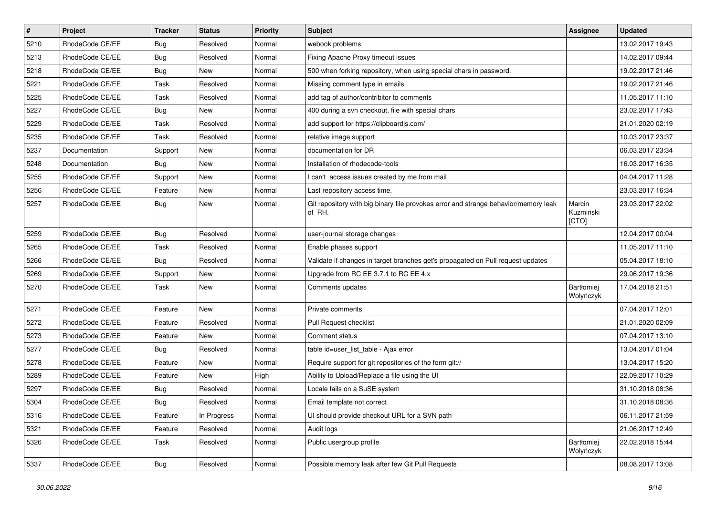| $\pmb{\#}$ | Project         | <b>Tracker</b> | <b>Status</b> | <b>Priority</b> | <b>Subject</b>                                                                                | <b>Assignee</b>              | <b>Updated</b>   |
|------------|-----------------|----------------|---------------|-----------------|-----------------------------------------------------------------------------------------------|------------------------------|------------------|
| 5210       | RhodeCode CE/EE | Bug            | Resolved      | Normal          | webook problems                                                                               |                              | 13.02.2017 19:43 |
| 5213       | RhodeCode CE/EE | Bug            | Resolved      | Normal          | Fixing Apache Proxy timeout issues                                                            |                              | 14.02.2017 09:44 |
| 5218       | RhodeCode CE/EE | Bug            | New           | Normal          | 500 when forking repository, when using special chars in password.                            |                              | 19.02.2017 21:46 |
| 5221       | RhodeCode CE/EE | Task           | Resolved      | Normal          | Missing comment type in emails                                                                |                              | 19.02.2017 21:46 |
| 5225       | RhodeCode CE/EE | <b>Task</b>    | Resolved      | Normal          | add tag of author/contribitor to comments                                                     |                              | 11.05.2017 11:10 |
| 5227       | RhodeCode CE/EE | Bug            | New           | Normal          | 400 during a svn checkout, file with special chars                                            |                              | 23.02.2017 17:43 |
| 5229       | RhodeCode CE/EE | Task           | Resolved      | Normal          | add support for https://clipboardjs.com/                                                      |                              | 21.01.2020 02:19 |
| 5235       | RhodeCode CE/EE | Task           | Resolved      | Normal          | relative image support                                                                        |                              | 10.03.2017 23:37 |
| 5237       | Documentation   | Support        | New           | Normal          | documentation for DR                                                                          |                              | 06.03.2017 23:34 |
| 5248       | Documentation   | Bug            | New           | Normal          | Installation of rhodecode-tools                                                               |                              | 16.03.2017 16:35 |
| 5255       | RhodeCode CE/EE | Support        | <b>New</b>    | Normal          | I can't access issues created by me from mail                                                 |                              | 04.04.2017 11:28 |
| 5256       | RhodeCode CE/EE | Feature        | New           | Normal          | Last repository access time.                                                                  |                              | 23.03.2017 16:34 |
| 5257       | RhodeCode CE/EE | Bug            | New           | Normal          | Git repository with big binary file provokes error and strange behavior/memory leak<br>of RH. | Marcin<br>Kuzminski<br>[CTO] | 23.03.2017 22:02 |
| 5259       | RhodeCode CE/EE | Bug            | Resolved      | Normal          | user-journal storage changes                                                                  |                              | 12.04.2017 00:04 |
| 5265       | RhodeCode CE/EE | Task           | Resolved      | Normal          | Enable phases support                                                                         |                              | 11.05.2017 11:10 |
| 5266       | RhodeCode CE/EE | Bug            | Resolved      | Normal          | Validate if changes in target branches get's propagated on Pull request updates               |                              | 05.04.2017 18:10 |
| 5269       | RhodeCode CE/EE | Support        | New           | Normal          | Upgrade from RC EE 3.7.1 to RC EE 4.x                                                         |                              | 29.06.2017 19:36 |
| 5270       | RhodeCode CE/EE | Task           | New           | Normal          | Comments updates                                                                              | Bartłomiej<br>Wołyńczyk      | 17.04.2018 21:51 |
| 5271       | RhodeCode CE/EE | Feature        | <b>New</b>    | Normal          | Private comments                                                                              |                              | 07.04.2017 12:01 |
| 5272       | RhodeCode CE/EE | Feature        | Resolved      | Normal          | Pull Request checklist                                                                        |                              | 21.01.2020 02:09 |
| 5273       | RhodeCode CE/EE | Feature        | New           | Normal          | Comment status                                                                                |                              | 07.04.2017 13:10 |
| 5277       | RhodeCode CE/EE | Bug            | Resolved      | Normal          | table id=user_list_table - Ajax error                                                         |                              | 13.04.2017 01:04 |
| 5278       | RhodeCode CE/EE | Feature        | <b>New</b>    | Normal          | Require support for git repositories of the form git://                                       |                              | 13.04.2017 15:20 |
| 5289       | RhodeCode CE/EE | Feature        | New           | High            | Ability to Upload/Replace a file using the UI                                                 |                              | 22.09.2017 10:29 |
| 5297       | RhodeCode CE/EE | Bug            | Resolved      | Normal          | Locale fails on a SuSE system                                                                 |                              | 31.10.2018 08:36 |
| 5304       | RhodeCode CE/EE | Bug            | Resolved      | Normal          | Email template not correct                                                                    |                              | 31.10.2018 08:36 |
| 5316       | RhodeCode CE/EE | Feature        | In Progress   | Normal          | UI should provide checkout URL for a SVN path                                                 |                              | 06.11.2017 21:59 |
| 5321       | RhodeCode CE/EE | Feature        | Resolved      | Normal          | Audit logs                                                                                    |                              | 21.06.2017 12:49 |
| 5326       | RhodeCode CE/EE | Task           | Resolved      | Normal          | Public usergroup profile                                                                      | Bartłomiej<br>Wołyńczyk      | 22.02.2018 15:44 |
| 5337       | RhodeCode CE/EE | <b>Bug</b>     | Resolved      | Normal          | Possible memory leak after few Git Pull Requests                                              |                              | 08.08.2017 13:08 |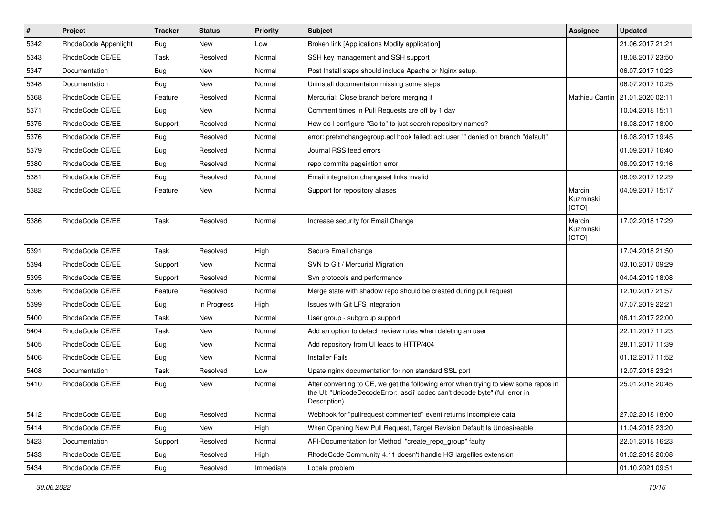| $\pmb{\#}$ | Project              | <b>Tracker</b> | <b>Status</b> | <b>Priority</b> | <b>Subject</b>                                                                                                                                                                       | <b>Assignee</b>              | <b>Updated</b>   |
|------------|----------------------|----------------|---------------|-----------------|--------------------------------------------------------------------------------------------------------------------------------------------------------------------------------------|------------------------------|------------------|
| 5342       | RhodeCode Appenlight | Bug            | New           | Low             | Broken link [Applications Modify application]                                                                                                                                        |                              | 21.06.2017 21:21 |
| 5343       | RhodeCode CE/EE      | Task           | Resolved      | Normal          | SSH key management and SSH support                                                                                                                                                   |                              | 18.08.2017 23:50 |
| 5347       | Documentation        | Bug            | New           | Normal          | Post Install steps should include Apache or Nginx setup.                                                                                                                             |                              | 06.07.2017 10:23 |
| 5348       | Documentation        | Bug            | New           | Normal          | Uninstall documentaion missing some steps                                                                                                                                            |                              | 06.07.2017 10:25 |
| 5368       | RhodeCode CE/EE      | Feature        | Resolved      | Normal          | Mercurial: Close branch before merging it                                                                                                                                            | Mathieu Cantin               | 21.01.2020 02:11 |
| 5371       | RhodeCode CE/EE      | Bug            | New           | Normal          | Comment times in Pull Requests are off by 1 day                                                                                                                                      |                              | 10.04.2018 15:11 |
| 5375       | RhodeCode CE/EE      | Support        | Resolved      | Normal          | How do I configure "Go to" to just search repository names?                                                                                                                          |                              | 16.08.2017 18:00 |
| 5376       | RhodeCode CE/EE      | <b>Bug</b>     | Resolved      | Normal          | error: pretxnchangegroup.acl hook failed: acl: user "" denied on branch "default"                                                                                                    |                              | 16.08.2017 19:45 |
| 5379       | RhodeCode CE/EE      | Bug            | Resolved      | Normal          | Journal RSS feed errors                                                                                                                                                              |                              | 01.09.2017 16:40 |
| 5380       | RhodeCode CE/EE      | Bug            | Resolved      | Normal          | repo commits pageintion error                                                                                                                                                        |                              | 06.09.2017 19:16 |
| 5381       | RhodeCode CE/EE      | Bug            | Resolved      | Normal          | Email integration changeset links invalid                                                                                                                                            |                              | 06.09.2017 12:29 |
| 5382       | RhodeCode CE/EE      | Feature        | New           | Normal          | Support for repository aliases                                                                                                                                                       | Marcin<br>Kuzminski<br>[CTO] | 04.09.2017 15:17 |
| 5386       | RhodeCode CE/EE      | Task           | Resolved      | Normal          | Increase security for Email Change                                                                                                                                                   | Marcin<br>Kuzminski<br>[CTO] | 17.02.2018 17:29 |
| 5391       | RhodeCode CE/EE      | Task           | Resolved      | High            | Secure Email change                                                                                                                                                                  |                              | 17.04.2018 21:50 |
| 5394       | RhodeCode CE/EE      | Support        | New           | Normal          | SVN to Git / Mercurial Migration                                                                                                                                                     |                              | 03.10.2017 09:29 |
| 5395       | RhodeCode CE/EE      | Support        | Resolved      | Normal          | Svn protocols and performance                                                                                                                                                        |                              | 04.04.2019 18:08 |
| 5396       | RhodeCode CE/EE      | Feature        | Resolved      | Normal          | Merge state with shadow repo should be created during pull request                                                                                                                   |                              | 12.10.2017 21:57 |
| 5399       | RhodeCode CE/EE      | Bug            | In Progress   | High            | Issues with Git LFS integration                                                                                                                                                      |                              | 07.07.2019 22:21 |
| 5400       | RhodeCode CE/EE      | Task           | <b>New</b>    | Normal          | User group - subgroup support                                                                                                                                                        |                              | 06.11.2017 22:00 |
| 5404       | RhodeCode CE/EE      | Task           | New           | Normal          | Add an option to detach review rules when deleting an user                                                                                                                           |                              | 22.11.2017 11:23 |
| 5405       | RhodeCode CE/EE      | Bug            | <b>New</b>    | Normal          | Add repository from UI leads to HTTP/404                                                                                                                                             |                              | 28.11.2017 11:39 |
| 5406       | RhodeCode CE/EE      | Bug            | <b>New</b>    | Normal          | <b>Installer Fails</b>                                                                                                                                                               |                              | 01.12.2017 11:52 |
| 5408       | Documentation        | Task           | Resolved      | Low             | Upate nginx documentation for non standard SSL port                                                                                                                                  |                              | 12.07.2018 23:21 |
| 5410       | RhodeCode CE/EE      | Bug            | New           | Normal          | After converting to CE, we get the following error when trying to view some repos in<br>the UI: "UnicodeDecodeError: 'ascii' codec can't decode byte" (full error in<br>Description) |                              | 25.01.2018 20:45 |
| 5412       | RhodeCode CE/EE      | Bug            | Resolved      | Normal          | Webhook for "pullrequest commented" event returns incomplete data                                                                                                                    |                              | 27.02.2018 18:00 |
| 5414       | RhodeCode CE/EE      | <b>Bug</b>     | New           | High            | When Opening New Pull Request, Target Revision Default Is Undesireable                                                                                                               |                              | 11.04.2018 23:20 |
| 5423       | Documentation        | Support        | Resolved      | Normal          | API-Documentation for Method "create_repo_group" faulty                                                                                                                              |                              | 22.01.2018 16:23 |
| 5433       | RhodeCode CE/EE      | Bug            | Resolved      | High            | RhodeCode Community 4.11 doesn't handle HG largefiles extension                                                                                                                      |                              | 01.02.2018 20:08 |
| 5434       | RhodeCode CE/EE      | <b>Bug</b>     | Resolved      | Immediate       | Locale problem                                                                                                                                                                       |                              | 01.10.2021 09:51 |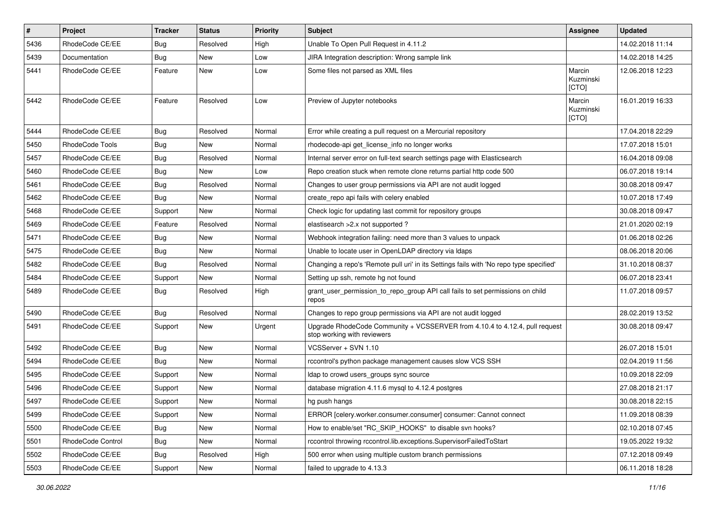| $\pmb{\#}$ | <b>Project</b>    | <b>Tracker</b> | <b>Status</b> | <b>Priority</b> | <b>Subject</b>                                                                                             | Assignee                     | <b>Updated</b>   |
|------------|-------------------|----------------|---------------|-----------------|------------------------------------------------------------------------------------------------------------|------------------------------|------------------|
| 5436       | RhodeCode CE/EE   | <b>Bug</b>     | Resolved      | High            | Unable To Open Pull Request in 4.11.2                                                                      |                              | 14.02.2018 11:14 |
| 5439       | Documentation     | Bug            | <b>New</b>    | Low             | JIRA Integration description: Wrong sample link                                                            |                              | 14.02.2018 14:25 |
| 5441       | RhodeCode CE/EE   | Feature        | New           | Low             | Some files not parsed as XML files                                                                         | Marcin<br>Kuzminski<br>[CTO] | 12.06.2018 12:23 |
| 5442       | RhodeCode CE/EE   | Feature        | Resolved      | Low             | Preview of Jupyter notebooks                                                                               | Marcin<br>Kuzminski<br>[CTO] | 16.01.2019 16:33 |
| 5444       | RhodeCode CE/EE   | Bug            | Resolved      | Normal          | Error while creating a pull request on a Mercurial repository                                              |                              | 17.04.2018 22:29 |
| 5450       | RhodeCode Tools   | Bug            | New           | Normal          | rhodecode-api get license info no longer works                                                             |                              | 17.07.2018 15:01 |
| 5457       | RhodeCode CE/EE   | Bug            | Resolved      | Normal          | Internal server error on full-text search settings page with Elasticsearch                                 |                              | 16.04.2018 09:08 |
| 5460       | RhodeCode CE/EE   | Bug            | New           | Low             | Repo creation stuck when remote clone returns partial http code 500                                        |                              | 06.07.2018 19:14 |
| 5461       | RhodeCode CE/EE   | Bug            | Resolved      | Normal          | Changes to user group permissions via API are not audit logged                                             |                              | 30.08.2018 09:47 |
| 5462       | RhodeCode CE/EE   | Bug            | New           | Normal          | create_repo api fails with celery enabled                                                                  |                              | 10.07.2018 17:49 |
| 5468       | RhodeCode CE/EE   | Support        | New           | Normal          | Check logic for updating last commit for repository groups                                                 |                              | 30.08.2018 09:47 |
| 5469       | RhodeCode CE/EE   | Feature        | Resolved      | Normal          | elastisearch > 2.x not supported?                                                                          |                              | 21.01.2020 02:19 |
| 5471       | RhodeCode CE/EE   | <b>Bug</b>     | New           | Normal          | Webhook integration failing: need more than 3 values to unpack                                             |                              | 01.06.2018 02:26 |
| 5475       | RhodeCode CE/EE   | Bug            | <b>New</b>    | Normal          | Unable to locate user in OpenLDAP directory via Idaps                                                      |                              | 08.06.2018 20:06 |
| 5482       | RhodeCode CE/EE   | Bug            | Resolved      | Normal          | Changing a repo's 'Remote pull uri' in its Settings fails with 'No repo type specified'                    |                              | 31.10.2018 08:37 |
| 5484       | RhodeCode CE/EE   | Support        | <b>New</b>    | Normal          | Setting up ssh, remote hg not found                                                                        |                              | 06.07.2018 23:41 |
| 5489       | RhodeCode CE/EE   | Bug            | Resolved      | High            | grant user permission to repo group API call fails to set permissions on child<br>repos                    |                              | 11.07.2018 09:57 |
| 5490       | RhodeCode CE/EE   | Bug            | Resolved      | Normal          | Changes to repo group permissions via API are not audit logged                                             |                              | 28.02.2019 13:52 |
| 5491       | RhodeCode CE/EE   | Support        | <b>New</b>    | Urgent          | Upgrade RhodeCode Community + VCSSERVER from 4.10.4 to 4.12.4, pull request<br>stop working with reviewers |                              | 30.08.2018 09:47 |
| 5492       | RhodeCode CE/EE   | Bug            | <b>New</b>    | Normal          | VCSServer + SVN 1.10                                                                                       |                              | 26.07.2018 15:01 |
| 5494       | RhodeCode CE/EE   | <b>Bug</b>     | New           | Normal          | rccontrol's python package management causes slow VCS SSH                                                  |                              | 02.04.2019 11:56 |
| 5495       | RhodeCode CE/EE   | Support        | New           | Normal          | Idap to crowd users_groups sync source                                                                     |                              | 10.09.2018 22:09 |
| 5496       | RhodeCode CE/EE   | Support        | <b>New</b>    | Normal          | database migration 4.11.6 mysql to 4.12.4 postgres                                                         |                              | 27.08.2018 21:17 |
| 5497       | RhodeCode CE/EE   | Support        | New           | Normal          | hg push hangs                                                                                              |                              | 30.08.2018 22:15 |
| 5499       | RhodeCode CE/EE   | Support        | New           | Normal          | ERROR [celery.worker.consumer.consumer] consumer: Cannot connect                                           |                              | 11.09.2018 08:39 |
| 5500       | RhodeCode CE/EE   | <b>Bug</b>     | New           | Normal          | How to enable/set "RC_SKIP_HOOKS" to disable svn hooks?                                                    |                              | 02.10.2018 07:45 |
| 5501       | RhodeCode Control | Bug            | New           | Normal          | rccontrol throwing rccontrol.lib.exceptions.SupervisorFailedToStart                                        |                              | 19.05.2022 19:32 |
| 5502       | RhodeCode CE/EE   | Bug            | Resolved      | High            | 500 error when using multiple custom branch permissions                                                    |                              | 07.12.2018 09:49 |
| 5503       | RhodeCode CE/EE   | Support        | New           | Normal          | failed to upgrade to 4.13.3                                                                                |                              | 06.11.2018 18:28 |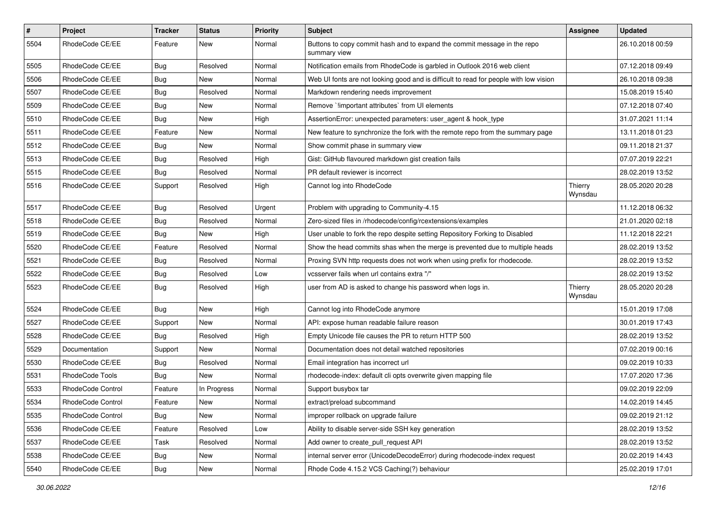| $\pmb{\#}$ | Project           | <b>Tracker</b> | <b>Status</b> | <b>Priority</b> | <b>Subject</b>                                                                           | Assignee           | <b>Updated</b>   |
|------------|-------------------|----------------|---------------|-----------------|------------------------------------------------------------------------------------------|--------------------|------------------|
| 5504       | RhodeCode CE/EE   | Feature        | New           | Normal          | Buttons to copy commit hash and to expand the commit message in the repo<br>summary view |                    | 26.10.2018 00:59 |
| 5505       | RhodeCode CE/EE   | Bug            | Resolved      | Normal          | Notification emails from RhodeCode is garbled in Outlook 2016 web client                 |                    | 07.12.2018 09:49 |
| 5506       | RhodeCode CE/EE   | <b>Bug</b>     | New           | Normal          | Web UI fonts are not looking good and is difficult to read for people with low vision    |                    | 26.10.2018 09:38 |
| 5507       | RhodeCode CE/EE   | Bug            | Resolved      | Normal          | Markdown rendering needs improvement                                                     |                    | 15.08.2019 15:40 |
| 5509       | RhodeCode CE/EE   | Bug            | New           | Normal          | Remove `!important attributes` from UI elements                                          |                    | 07.12.2018 07:40 |
| 5510       | RhodeCode CE/EE   | Bug            | New           | High            | AssertionError: unexpected parameters: user_agent & hook_type                            |                    | 31.07.2021 11:14 |
| 5511       | RhodeCode CE/EE   | Feature        | New           | Normal          | New feature to synchronize the fork with the remote repo from the summary page           |                    | 13.11.2018 01:23 |
| 5512       | RhodeCode CE/EE   | Bug            | New           | Normal          | Show commit phase in summary view                                                        |                    | 09.11.2018 21:37 |
| 5513       | RhodeCode CE/EE   | Bug            | Resolved      | High            | Gist: GitHub flavoured markdown gist creation fails                                      |                    | 07.07.2019 22:21 |
| 5515       | RhodeCode CE/EE   | Bug            | Resolved      | Normal          | PR default reviewer is incorrect                                                         |                    | 28.02.2019 13:52 |
| 5516       | RhodeCode CE/EE   | Support        | Resolved      | High            | Cannot log into RhodeCode                                                                | Thierry<br>Wynsdau | 28.05.2020 20:28 |
| 5517       | RhodeCode CE/EE   | Bug            | Resolved      | Urgent          | Problem with upgrading to Community-4.15                                                 |                    | 11.12.2018 06:32 |
| 5518       | RhodeCode CE/EE   | Bug            | Resolved      | Normal          | Zero-sized files in /rhodecode/config/rcextensions/examples                              |                    | 21.01.2020 02:18 |
| 5519       | RhodeCode CE/EE   | Bug            | New           | High            | User unable to fork the repo despite setting Repository Forking to Disabled              |                    | 11.12.2018 22:21 |
| 5520       | RhodeCode CE/EE   | Feature        | Resolved      | Normal          | Show the head commits shas when the merge is prevented due to multiple heads             |                    | 28.02.2019 13:52 |
| 5521       | RhodeCode CE/EE   | Bug            | Resolved      | Normal          | Proxing SVN http requests does not work when using prefix for rhodecode.                 |                    | 28.02.2019 13:52 |
| 5522       | RhodeCode CE/EE   | Bug            | Resolved      | Low             | vcsserver fails when url contains extra "/"                                              |                    | 28.02.2019 13:52 |
| 5523       | RhodeCode CE/EE   | Bug            | Resolved      | High            | user from AD is asked to change his password when logs in.                               | Thierry<br>Wynsdau | 28.05.2020 20:28 |
| 5524       | RhodeCode CE/EE   | Bug            | <b>New</b>    | High            | Cannot log into RhodeCode anymore                                                        |                    | 15.01.2019 17:08 |
| 5527       | RhodeCode CE/EE   | Support        | <b>New</b>    | Normal          | API: expose human readable failure reason                                                |                    | 30.01.2019 17:43 |
| 5528       | RhodeCode CE/EE   | Bug            | Resolved      | High            | Empty Unicode file causes the PR to return HTTP 500                                      |                    | 28.02.2019 13:52 |
| 5529       | Documentation     | Support        | New           | Normal          | Documentation does not detail watched repositories                                       |                    | 07.02.2019 00:16 |
| 5530       | RhodeCode CE/EE   | Bug            | Resolved      | Normal          | Email integration has incorrect url                                                      |                    | 09.02.2019 10:33 |
| 5531       | RhodeCode Tools   | Bug            | New           | Normal          | rhodecode-index: default cli opts overwrite given mapping file                           |                    | 17.07.2020 17:36 |
| 5533       | RhodeCode Control | Feature        | In Progress   | Normal          | Support busybox tar                                                                      |                    | 09.02.2019 22:09 |
| 5534       | RhodeCode Control | Feature        | New           | Normal          | extract/preload subcommand                                                               |                    | 14.02.2019 14:45 |
| 5535       | RhodeCode Control | Bug            | New           | Normal          | improper rollback on upgrade failure                                                     |                    | 09.02.2019 21:12 |
| 5536       | RhodeCode CE/EE   | Feature        | Resolved      | Low             | Ability to disable server-side SSH key generation                                        |                    | 28.02.2019 13:52 |
| 5537       | RhodeCode CE/EE   | Task           | Resolved      | Normal          | Add owner to create_pull_request API                                                     |                    | 28.02.2019 13:52 |
| 5538       | RhodeCode CE/EE   | Bug            | New           | Normal          | internal server error (UnicodeDecodeError) during rhodecode-index request                |                    | 20.02.2019 14:43 |
| 5540       | RhodeCode CE/EE   | Bug            | New           | Normal          | Rhode Code 4.15.2 VCS Caching(?) behaviour                                               |                    | 25.02.2019 17:01 |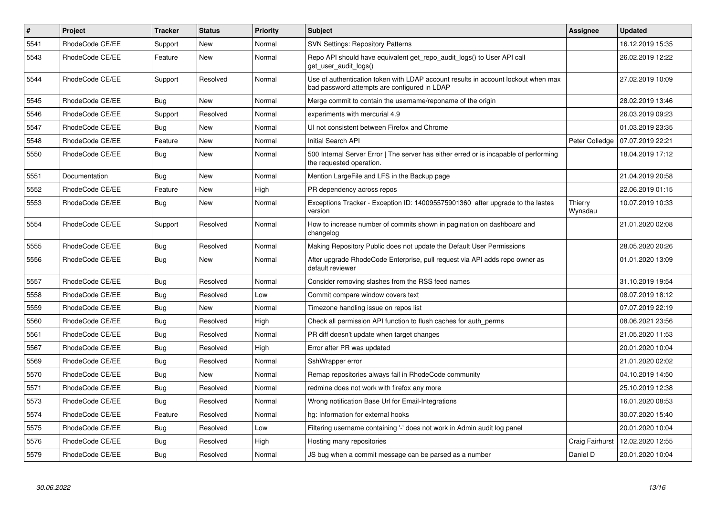| $\vert$ # | <b>Project</b>  | Tracker    | <b>Status</b> | <b>Priority</b> | <b>Subject</b>                                                                                                                    | Assignee           | <b>Updated</b>   |
|-----------|-----------------|------------|---------------|-----------------|-----------------------------------------------------------------------------------------------------------------------------------|--------------------|------------------|
| 5541      | RhodeCode CE/EE | Support    | <b>New</b>    | Normal          | <b>SVN Settings: Repository Patterns</b>                                                                                          |                    | 16.12.2019 15:35 |
| 5543      | RhodeCode CE/EE | Feature    | <b>New</b>    | Normal          | Repo API should have equivalent get repo audit logs() to User API call<br>get user audit logs()                                   |                    | 26.02.2019 12:22 |
| 5544      | RhodeCode CE/EE | Support    | Resolved      | Normal          | Use of authentication token with LDAP account results in account lockout when max<br>bad password attempts are configured in LDAP |                    | 27.02.2019 10:09 |
| 5545      | RhodeCode CE/EE | Bug        | New           | Normal          | Merge commit to contain the username/reponame of the origin                                                                       |                    | 28.02.2019 13:46 |
| 5546      | RhodeCode CE/EE | Support    | Resolved      | Normal          | experiments with mercurial 4.9                                                                                                    |                    | 26.03.2019 09:23 |
| 5547      | RhodeCode CE/EE | Bug        | New           | Normal          | UI not consistent between Firefox and Chrome                                                                                      |                    | 01.03.2019 23:35 |
| 5548      | RhodeCode CE/EE | Feature    | <b>New</b>    | Normal          | Initial Search API                                                                                                                | Peter Colledge     | 07.07.2019 22:21 |
| 5550      | RhodeCode CE/EE | <b>Bug</b> | <b>New</b>    | Normal          | 500 Internal Server Error   The server has either erred or is incapable of performing<br>the requested operation.                 |                    | 18.04.2019 17:12 |
| 5551      | Documentation   | Bug        | New           | Normal          | Mention LargeFile and LFS in the Backup page                                                                                      |                    | 21.04.2019 20:58 |
| 5552      | RhodeCode CE/EE | Feature    | <b>New</b>    | High            | PR dependency across repos                                                                                                        |                    | 22.06.2019 01:15 |
| 5553      | RhodeCode CE/EE | Bug        | <b>New</b>    | Normal          | Exceptions Tracker - Exception ID: 140095575901360 after upgrade to the lastes<br>version                                         | Thierry<br>Wynsdau | 10.07.2019 10:33 |
| 5554      | RhodeCode CE/EE | Support    | Resolved      | Normal          | How to increase number of commits shown in pagination on dashboard and<br>changelog                                               |                    | 21.01.2020 02:08 |
| 5555      | RhodeCode CE/EE | Bug        | Resolved      | Normal          | Making Repository Public does not update the Default User Permissions                                                             |                    | 28.05.2020 20:26 |
| 5556      | RhodeCode CE/EE | Bug        | <b>New</b>    | Normal          | After upgrade RhodeCode Enterprise, pull request via API adds repo owner as<br>default reviewer                                   |                    | 01.01.2020 13:09 |
| 5557      | RhodeCode CE/EE | Bug        | Resolved      | Normal          | Consider removing slashes from the RSS feed names                                                                                 |                    | 31.10.2019 19:54 |
| 5558      | RhodeCode CE/EE | Bug        | Resolved      | Low             | Commit compare window covers text                                                                                                 |                    | 08.07.2019 18:12 |
| 5559      | RhodeCode CE/EE | Bug        | <b>New</b>    | Normal          | Timezone handling issue on repos list                                                                                             |                    | 07.07.2019 22:19 |
| 5560      | RhodeCode CE/EE | <b>Bug</b> | Resolved      | High            | Check all permission API function to flush caches for auth perms                                                                  |                    | 08.06.2021 23:56 |
| 5561      | RhodeCode CE/EE | Bug        | Resolved      | Normal          | PR diff doesn't update when target changes                                                                                        |                    | 21.05.2020 11:53 |
| 5567      | RhodeCode CE/EE | Bug        | Resolved      | High            | Error after PR was updated                                                                                                        |                    | 20.01.2020 10:04 |
| 5569      | RhodeCode CE/EE | Bug        | Resolved      | Normal          | SshWrapper error                                                                                                                  |                    | 21.01.2020 02:02 |
| 5570      | RhodeCode CE/EE | <b>Bug</b> | New           | Normal          | Remap repositories always fail in RhodeCode community                                                                             |                    | 04.10.2019 14:50 |
| 5571      | RhodeCode CE/EE | Bug        | Resolved      | Normal          | redmine does not work with firefox any more                                                                                       |                    | 25.10.2019 12:38 |
| 5573      | RhodeCode CE/EE | Bug        | Resolved      | Normal          | Wrong notification Base Url for Email-Integrations                                                                                |                    | 16.01.2020 08:53 |
| 5574      | RhodeCode CE/EE | Feature    | Resolved      | Normal          | hg: Information for external hooks                                                                                                |                    | 30.07.2020 15:40 |
| 5575      | RhodeCode CE/EE | <b>Bug</b> | Resolved      | Low             | Filtering username containing '-' does not work in Admin audit log panel                                                          |                    | 20.01.2020 10:04 |
| 5576      | RhodeCode CE/EE | Bug        | Resolved      | High            | Hosting many repositories                                                                                                         | Craig Fairhurst    | 12.02.2020 12:55 |
| 5579      | RhodeCode CE/EE | <b>Bug</b> | Resolved      | Normal          | JS bug when a commit message can be parsed as a number                                                                            | Daniel D           | 20.01.2020 10:04 |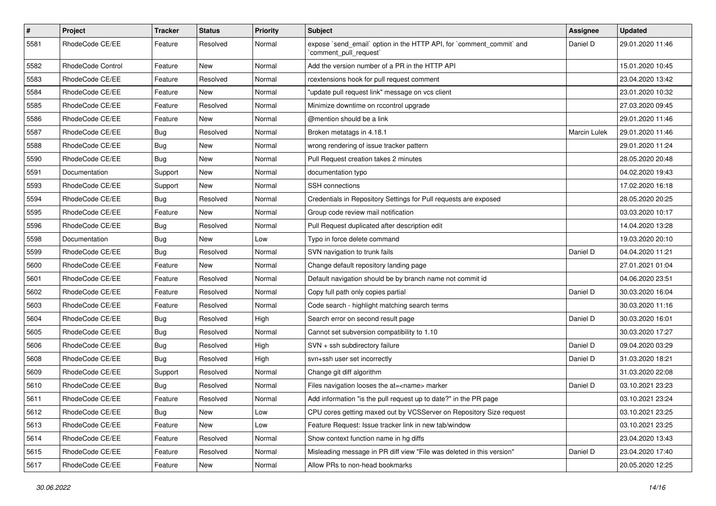| $\pmb{\#}$ | Project           | Tracker    | <b>Status</b> | <b>Priority</b> | Subject                                                                                        | Assignee            | <b>Updated</b>   |
|------------|-------------------|------------|---------------|-----------------|------------------------------------------------------------------------------------------------|---------------------|------------------|
| 5581       | RhodeCode CE/EE   | Feature    | Resolved      | Normal          | expose `send email` option in the HTTP API, for `comment commit` and<br>`comment_pull_request` | Daniel D            | 29.01.2020 11:46 |
| 5582       | RhodeCode Control | Feature    | New           | Normal          | Add the version number of a PR in the HTTP API                                                 |                     | 15.01.2020 10:45 |
| 5583       | RhodeCode CE/EE   | Feature    | Resolved      | Normal          | rcextensions hook for pull request comment                                                     |                     | 23.04.2020 13:42 |
| 5584       | RhodeCode CE/EE   | Feature    | <b>New</b>    | Normal          | "update pull request link" message on vcs client                                               |                     | 23.01.2020 10:32 |
| 5585       | RhodeCode CE/EE   | Feature    | Resolved      | Normal          | Minimize downtime on rccontrol upgrade                                                         |                     | 27.03.2020 09:45 |
| 5586       | RhodeCode CE/EE   | Feature    | <b>New</b>    | Normal          | @mention should be a link                                                                      |                     | 29.01.2020 11:46 |
| 5587       | RhodeCode CE/EE   | <b>Bug</b> | Resolved      | Normal          | Broken metatags in 4.18.1                                                                      | <b>Marcin Lulek</b> | 29.01.2020 11:46 |
| 5588       | RhodeCode CE/EE   | <b>Bug</b> | New           | Normal          | wrong rendering of issue tracker pattern                                                       |                     | 29.01.2020 11:24 |
| 5590       | RhodeCode CE/EE   | Bug        | New           | Normal          | Pull Request creation takes 2 minutes                                                          |                     | 28.05.2020 20:48 |
| 5591       | Documentation     | Support    | New           | Normal          | documentation typo                                                                             |                     | 04.02.2020 19:43 |
| 5593       | RhodeCode CE/EE   | Support    | New           | Normal          | SSH connections                                                                                |                     | 17.02.2020 16:18 |
| 5594       | RhodeCode CE/EE   | Bug        | Resolved      | Normal          | Credentials in Repository Settings for Pull requests are exposed                               |                     | 28.05.2020 20:25 |
| 5595       | RhodeCode CE/EE   | Feature    | New           | Normal          | Group code review mail notification                                                            |                     | 03.03.2020 10:17 |
| 5596       | RhodeCode CE/EE   | Bug        | Resolved      | Normal          | Pull Request duplicated after description edit                                                 |                     | 14.04.2020 13:28 |
| 5598       | Documentation     | <b>Bug</b> | <b>New</b>    | Low             | Typo in force delete command                                                                   |                     | 19.03.2020 20:10 |
| 5599       | RhodeCode CE/EE   | Bug        | Resolved      | Normal          | SVN navigation to trunk fails                                                                  | Daniel D            | 04.04.2020 11:21 |
| 5600       | RhodeCode CE/EE   | Feature    | <b>New</b>    | Normal          | Change default repository landing page                                                         |                     | 27.01.2021 01:04 |
| 5601       | RhodeCode CE/EE   | Feature    | Resolved      | Normal          | Default navigation should be by branch name not commit id                                      |                     | 04.06.2020 23:51 |
| 5602       | RhodeCode CE/EE   | Feature    | Resolved      | Normal          | Copy full path only copies partial                                                             | Daniel D            | 30.03.2020 16:04 |
| 5603       | RhodeCode CE/EE   | Feature    | Resolved      | Normal          | Code search - highlight matching search terms                                                  |                     | 30.03.2020 11:16 |
| 5604       | RhodeCode CE/EE   | <b>Bug</b> | Resolved      | High            | Search error on second result page                                                             | Daniel D            | 30.03.2020 16:01 |
| 5605       | RhodeCode CE/EE   | <b>Bug</b> | Resolved      | Normal          | Cannot set subversion compatibility to 1.10                                                    |                     | 30.03.2020 17:27 |
| 5606       | RhodeCode CE/EE   | <b>Bug</b> | Resolved      | High            | SVN + ssh subdirectory failure                                                                 | Daniel D            | 09.04.2020 03:29 |
| 5608       | RhodeCode CE/EE   | <b>Bug</b> | Resolved      | High            | svn+ssh user set incorrectly                                                                   | Daniel D            | 31.03.2020 18:21 |
| 5609       | RhodeCode CE/EE   | Support    | Resolved      | Normal          | Change git diff algorithm                                                                      |                     | 31.03.2020 22:08 |
| 5610       | RhodeCode CE/EE   | <b>Bug</b> | Resolved      | Normal          | Files navigation looses the at= <name> marker</name>                                           | Daniel D            | 03.10.2021 23:23 |
| 5611       | RhodeCode CE/EE   | Feature    | Resolved      | Normal          | Add information "is the pull request up to date?" in the PR page                               |                     | 03.10.2021 23:24 |
| 5612       | RhodeCode CE/EE   | <b>Bug</b> | New           | Low             | CPU cores getting maxed out by VCSServer on Repository Size request                            |                     | 03.10.2021 23:25 |
| 5613       | RhodeCode CE/EE   | Feature    | New           | Low             | Feature Request: Issue tracker link in new tab/window                                          |                     | 03.10.2021 23:25 |
| 5614       | RhodeCode CE/EE   | Feature    | Resolved      | Normal          | Show context function name in hg diffs                                                         |                     | 23.04.2020 13:43 |
| 5615       | RhodeCode CE/EE   | Feature    | Resolved      | Normal          | Misleading message in PR diff view "File was deleted in this version"                          | Daniel D            | 23.04.2020 17:40 |
| 5617       | RhodeCode CE/EE   | Feature    | New           | Normal          | Allow PRs to non-head bookmarks                                                                |                     | 20.05.2020 12:25 |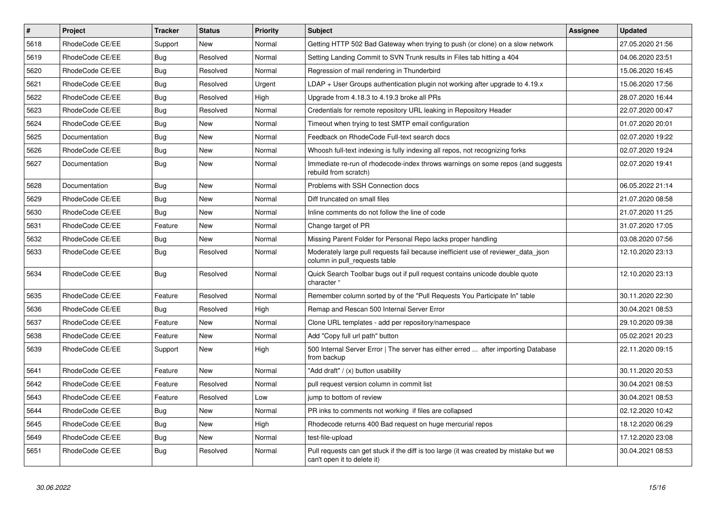| $\vert$ # | Project         | <b>Tracker</b> | <b>Status</b> | <b>Priority</b> | <b>Subject</b>                                                                                                        | Assignee | <b>Updated</b>   |
|-----------|-----------------|----------------|---------------|-----------------|-----------------------------------------------------------------------------------------------------------------------|----------|------------------|
| 5618      | RhodeCode CE/EE | Support        | <b>New</b>    | Normal          | Getting HTTP 502 Bad Gateway when trying to push (or clone) on a slow network                                         |          | 27.05.2020 21:56 |
| 5619      | RhodeCode CE/EE | Bug            | Resolved      | Normal          | Setting Landing Commit to SVN Trunk results in Files tab hitting a 404                                                |          | 04.06.2020 23:51 |
| 5620      | RhodeCode CE/EE | Bug            | Resolved      | Normal          | Regression of mail rendering in Thunderbird                                                                           |          | 15.06.2020 16:45 |
| 5621      | RhodeCode CE/EE | <b>Bug</b>     | Resolved      | Urgent          | $LDAP + User Groups$ authentication plugin not working after upgrade to 4.19. $x$                                     |          | 15.06.2020 17:56 |
| 5622      | RhodeCode CE/EE | Bug            | Resolved      | High            | Upgrade from 4.18.3 to 4.19.3 broke all PRs                                                                           |          | 28.07.2020 16:44 |
| 5623      | RhodeCode CE/EE | <b>Bug</b>     | Resolved      | Normal          | Credentials for remote repository URL leaking in Repository Header                                                    |          | 22.07.2020 00:47 |
| 5624      | RhodeCode CE/EE | Bug            | New           | Normal          | Timeout when trying to test SMTP email configuration                                                                  |          | 01.07.2020 20:01 |
| 5625      | Documentation   | <b>Bug</b>     | New           | Normal          | Feedback on RhodeCode Full-text search docs                                                                           |          | 02.07.2020 19:22 |
| 5626      | RhodeCode CE/EE | Bug            | <b>New</b>    | Normal          | Whoosh full-text indexing is fully indexing all repos, not recognizing forks                                          |          | 02.07.2020 19:24 |
| 5627      | Documentation   | Bug            | New           | Normal          | Immediate re-run of rhodecode-index throws warnings on some repos (and suggests<br>rebuild from scratch)              |          | 02.07.2020 19:41 |
| 5628      | Documentation   | Bug            | <b>New</b>    | Normal          | Problems with SSH Connection docs                                                                                     |          | 06.05.2022 21:14 |
| 5629      | RhodeCode CE/EE | <b>Bug</b>     | <b>New</b>    | Normal          | Diff truncated on small files                                                                                         |          | 21.07.2020 08:58 |
| 5630      | RhodeCode CE/EE | Bug            | New           | Normal          | Inline comments do not follow the line of code                                                                        |          | 21.07.2020 11:25 |
| 5631      | RhodeCode CE/EE | Feature        | New           | Normal          | Change target of PR                                                                                                   |          | 31.07.2020 17:05 |
| 5632      | RhodeCode CE/EE | <b>Bug</b>     | <b>New</b>    | Normal          | Missing Parent Folder for Personal Repo lacks proper handling                                                         |          | 03.08.2020 07:56 |
| 5633      | RhodeCode CE/EE | Bug            | Resolved      | Normal          | Moderately large pull requests fail because inefficient use of reviewer_data_json<br>column in pull requests table    |          | 12.10.2020 23:13 |
| 5634      | RhodeCode CE/EE | Bug            | Resolved      | Normal          | Quick Search Toolbar bugs out if pull request contains unicode double quote<br>character                              |          | 12.10.2020 23:13 |
| 5635      | RhodeCode CE/EE | Feature        | Resolved      | Normal          | Remember column sorted by of the "Pull Requests You Participate In" table                                             |          | 30.11.2020 22:30 |
| 5636      | RhodeCode CE/EE | Bug            | Resolved      | High            | Remap and Rescan 500 Internal Server Error                                                                            |          | 30.04.2021 08:53 |
| 5637      | RhodeCode CE/EE | Feature        | <b>New</b>    | Normal          | Clone URL templates - add per repository/namespace                                                                    |          | 29.10.2020 09:38 |
| 5638      | RhodeCode CE/EE | Feature        | New           | Normal          | Add "Copy full url path" button                                                                                       |          | 05.02.2021 20:23 |
| 5639      | RhodeCode CE/EE | Support        | New           | High            | 500 Internal Server Error   The server has either erred  after importing Database<br>from backup                      |          | 22.11.2020 09:15 |
| 5641      | RhodeCode CE/EE | Feature        | New           | Normal          | "Add draft" / (x) button usability                                                                                    |          | 30.11.2020 20:53 |
| 5642      | RhodeCode CE/EE | Feature        | Resolved      | Normal          | pull request version column in commit list                                                                            |          | 30.04.2021 08:53 |
| 5643      | RhodeCode CE/EE | Feature        | Resolved      | Low             | jump to bottom of review                                                                                              |          | 30.04.2021 08:53 |
| 5644      | RhodeCode CE/EE | Bug            | New           | Normal          | PR inks to comments not working if files are collapsed                                                                |          | 02.12.2020 10:42 |
| 5645      | RhodeCode CE/EE | Bug            | New           | High            | Rhodecode returns 400 Bad request on huge mercurial repos                                                             |          | 18.12.2020 06:29 |
| 5649      | RhodeCode CE/EE | Bug            | New           | Normal          | test-file-upload                                                                                                      |          | 17.12.2020 23:08 |
| 5651      | RhodeCode CE/EE | Bug            | Resolved      | Normal          | Pull requests can get stuck if the diff is too large (it was created by mistake but we<br>can't open it to delete it) |          | 30.04.2021 08:53 |